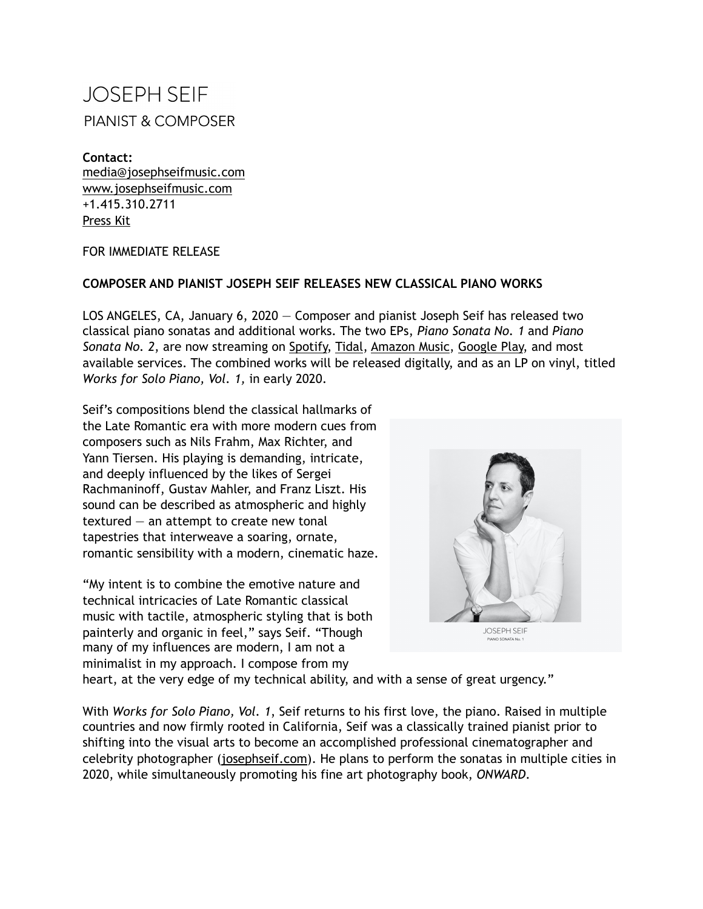## **JOSEPH SEIF PIANIST & COMPOSER**

**Contact:**  [media@josephseifmusic.com](mailto:media@josephseifmusic.com) [www.josephseifmusic.com](http://www.josephseifmusic.com) +1.415.310.2711 [Press Kit](https://www.josephseifmusic.com/blank-page)

## FOR IMMEDIATE RELEASE

## **COMPOSER AND PIANIST JOSEPH SEIF RELEASES NEW CLASSICAL PIANO WORKS**

LOS ANGELES, CA, January 6, 2020 — Composer and pianist Joseph Seif has released two classical piano sonatas and additional works. The two EPs, *Piano Sonata No. 1* and *Piano Sonata No. 2*, are now streaming on [Spotify,](https://open.spotify.com/playlist/3tMf1nYneO9GPCl8tNZ9cz?si=3w1FHioATm2XDXcIJLFNYA&fbclid=IwAR2zi1AzvoJgdFBjTP0tkKturRICL5LXG4sFCYeiZKCCJca1TjvuqRoB0Uc) [Tidal](https://tidal.com/browse/playlist/efc102fe-f088-4917-bb7f-0dc2bda6fbbc), [Amazon Music,](https://www.amazon.com/gp/product/B07ZS4DWJ8/ref=dm_ws_sp_ps_dp) [Google Play,](https://play.google.com/store/music/album/Joseph_Seif_Piano_Sonata_No_1?id=Be7sz3ql5kagoqc2wpc2ghtel4u) and most available services. The combined works will be released digitally, and as an LP on vinyl, titled *Works for Solo Piano, Vol. 1,* in early 2020.

Seif's compositions blend the classical hallmarks of the Late Romantic era with more modern cues from composers such as Nils Frahm, Max Richter, and Yann Tiersen. His playing is demanding, intricate, and deeply influenced by the likes of Sergei Rachmaninoff, Gustav Mahler, and Franz Liszt. His sound can be described as atmospheric and highly textured  $-$  an attempt to create new tonal tapestries that interweave a soaring, ornate, romantic sensibility with a modern, cinematic haze.

"My intent is to combine the emotive nature and technical intricacies of Late Romantic classical music with tactile, atmospheric styling that is both painterly and organic in feel," says Seif. "Though many of my influences are modern, I am not a minimalist in my approach. I compose from my



heart, at the very edge of my technical ability, and with a sense of great urgency."

With *Works for Solo Piano, Vol. 1*, Seif returns to his first love, the piano. Raised in multiple countries and now firmly rooted in California, Seif was a classically trained pianist prior to shifting into the visual arts to become an accomplished professional cinematographer and celebrity photographer ([josephseif.com\)](https://josephseif.com). He plans to perform the sonatas in multiple cities in 2020, while simultaneously promoting his fine art photography book, *[ONWARD](https://www.trulybooks.co)*.